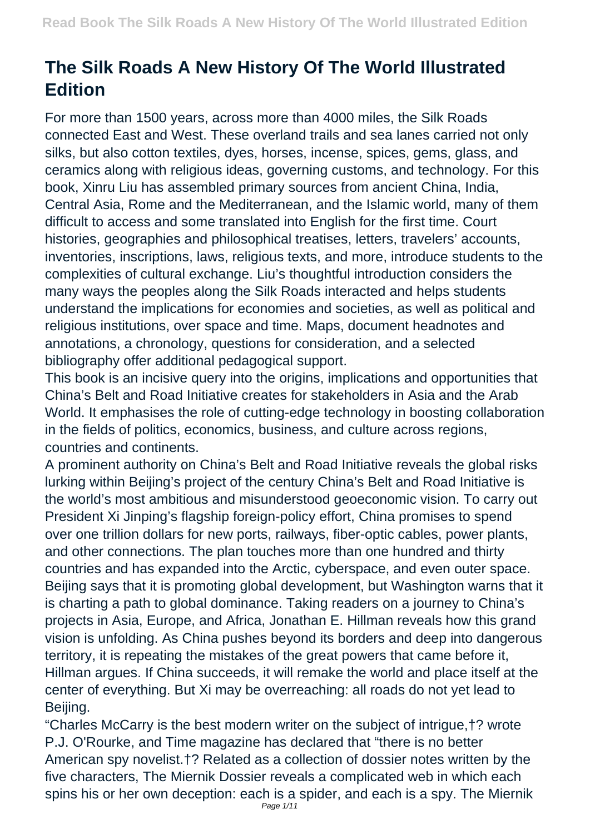## **The Silk Roads A New History Of The World Illustrated Edition**

For more than 1500 years, across more than 4000 miles, the Silk Roads connected East and West. These overland trails and sea lanes carried not only silks, but also cotton textiles, dyes, horses, incense, spices, gems, glass, and ceramics along with religious ideas, governing customs, and technology. For this book, Xinru Liu has assembled primary sources from ancient China, India, Central Asia, Rome and the Mediterranean, and the Islamic world, many of them difficult to access and some translated into English for the first time. Court histories, geographies and philosophical treatises, letters, travelers' accounts, inventories, inscriptions, laws, religious texts, and more, introduce students to the complexities of cultural exchange. Liu's thoughtful introduction considers the many ways the peoples along the Silk Roads interacted and helps students understand the implications for economies and societies, as well as political and religious institutions, over space and time. Maps, document headnotes and annotations, a chronology, questions for consideration, and a selected bibliography offer additional pedagogical support.

This book is an incisive query into the origins, implications and opportunities that China's Belt and Road Initiative creates for stakeholders in Asia and the Arab World. It emphasises the role of cutting-edge technology in boosting collaboration in the fields of politics, economics, business, and culture across regions, countries and continents.

A prominent authority on China's Belt and Road Initiative reveals the global risks lurking within Beijing's project of the century China's Belt and Road Initiative is the world's most ambitious and misunderstood geoeconomic vision. To carry out President Xi Jinping's flagship foreign-policy effort, China promises to spend over one trillion dollars for new ports, railways, fiber-optic cables, power plants, and other connections. The plan touches more than one hundred and thirty countries and has expanded into the Arctic, cyberspace, and even outer space. Beijing says that it is promoting global development, but Washington warns that it is charting a path to global dominance. Taking readers on a journey to China's projects in Asia, Europe, and Africa, Jonathan E. Hillman reveals how this grand vision is unfolding. As China pushes beyond its borders and deep into dangerous territory, it is repeating the mistakes of the great powers that came before it, Hillman argues. If China succeeds, it will remake the world and place itself at the center of everything. But Xi may be overreaching: all roads do not yet lead to Beijing.

"Charles McCarry is the best modern writer on the subject of intrigue,†? wrote P.J. O'Rourke, and Time magazine has declared that "there is no better American spy novelist.†? Related as a collection of dossier notes written by the five characters, The Miernik Dossier reveals a complicated web in which each spins his or her own deception: each is a spider, and each is a spy. The Miernik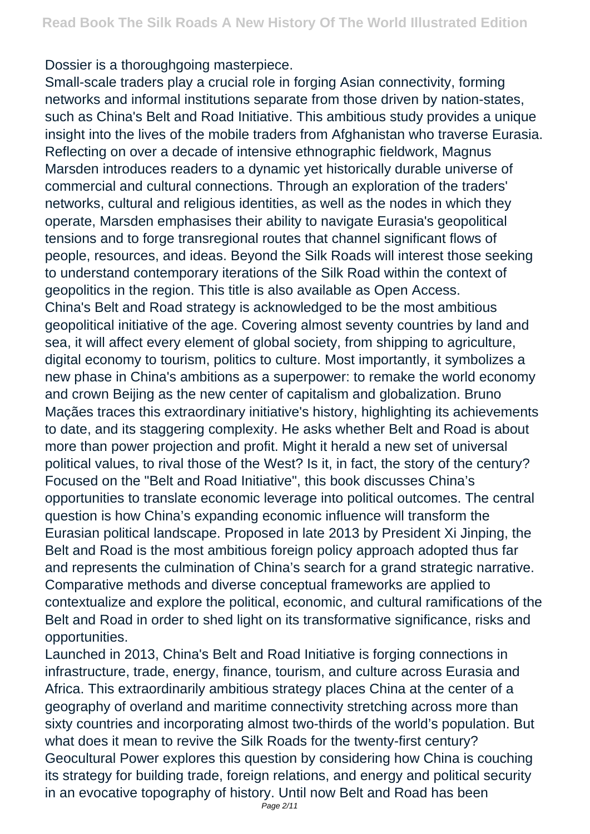Dossier is a thoroughgoing masterpiece.

Small-scale traders play a crucial role in forging Asian connectivity, forming networks and informal institutions separate from those driven by nation-states, such as China's Belt and Road Initiative. This ambitious study provides a unique insight into the lives of the mobile traders from Afghanistan who traverse Eurasia. Reflecting on over a decade of intensive ethnographic fieldwork, Magnus Marsden introduces readers to a dynamic yet historically durable universe of commercial and cultural connections. Through an exploration of the traders' networks, cultural and religious identities, as well as the nodes in which they operate, Marsden emphasises their ability to navigate Eurasia's geopolitical tensions and to forge transregional routes that channel significant flows of people, resources, and ideas. Beyond the Silk Roads will interest those seeking to understand contemporary iterations of the Silk Road within the context of geopolitics in the region. This title is also available as Open Access. China's Belt and Road strategy is acknowledged to be the most ambitious geopolitical initiative of the age. Covering almost seventy countries by land and sea, it will affect every element of global society, from shipping to agriculture, digital economy to tourism, politics to culture. Most importantly, it symbolizes a new phase in China's ambitions as a superpower: to remake the world economy and crown Beijing as the new center of capitalism and globalization. Bruno Maçães traces this extraordinary initiative's history, highlighting its achievements to date, and its staggering complexity. He asks whether Belt and Road is about more than power projection and profit. Might it herald a new set of universal political values, to rival those of the West? Is it, in fact, the story of the century? Focused on the "Belt and Road Initiative", this book discusses China's opportunities to translate economic leverage into political outcomes. The central question is how China's expanding economic influence will transform the Eurasian political landscape. Proposed in late 2013 by President Xi Jinping, the Belt and Road is the most ambitious foreign policy approach adopted thus far and represents the culmination of China's search for a grand strategic narrative. Comparative methods and diverse conceptual frameworks are applied to contextualize and explore the political, economic, and cultural ramifications of the Belt and Road in order to shed light on its transformative significance, risks and opportunities.

Launched in 2013, China's Belt and Road Initiative is forging connections in infrastructure, trade, energy, finance, tourism, and culture across Eurasia and Africa. This extraordinarily ambitious strategy places China at the center of a geography of overland and maritime connectivity stretching across more than sixty countries and incorporating almost two-thirds of the world's population. But what does it mean to revive the Silk Roads for the twenty-first century? Geocultural Power explores this question by considering how China is couching its strategy for building trade, foreign relations, and energy and political security in an evocative topography of history. Until now Belt and Road has been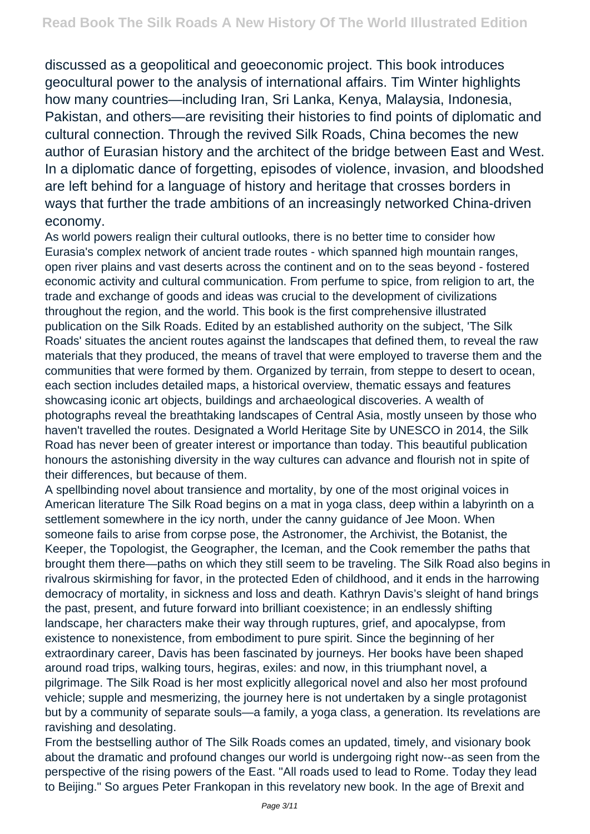discussed as a geopolitical and geoeconomic project. This book introduces geocultural power to the analysis of international affairs. Tim Winter highlights how many countries—including Iran, Sri Lanka, Kenya, Malaysia, Indonesia, Pakistan, and others—are revisiting their histories to find points of diplomatic and cultural connection. Through the revived Silk Roads, China becomes the new author of Eurasian history and the architect of the bridge between East and West. In a diplomatic dance of forgetting, episodes of violence, invasion, and bloodshed are left behind for a language of history and heritage that crosses borders in ways that further the trade ambitions of an increasingly networked China-driven economy.

As world powers realign their cultural outlooks, there is no better time to consider how Eurasia's complex network of ancient trade routes - which spanned high mountain ranges, open river plains and vast deserts across the continent and on to the seas beyond - fostered economic activity and cultural communication. From perfume to spice, from religion to art, the trade and exchange of goods and ideas was crucial to the development of civilizations throughout the region, and the world. This book is the first comprehensive illustrated publication on the Silk Roads. Edited by an established authority on the subject, 'The Silk Roads' situates the ancient routes against the landscapes that defined them, to reveal the raw materials that they produced, the means of travel that were employed to traverse them and the communities that were formed by them. Organized by terrain, from steppe to desert to ocean, each section includes detailed maps, a historical overview, thematic essays and features showcasing iconic art objects, buildings and archaeological discoveries. A wealth of photographs reveal the breathtaking landscapes of Central Asia, mostly unseen by those who haven't travelled the routes. Designated a World Heritage Site by UNESCO in 2014, the Silk Road has never been of greater interest or importance than today. This beautiful publication honours the astonishing diversity in the way cultures can advance and flourish not in spite of their differences, but because of them.

A spellbinding novel about transience and mortality, by one of the most original voices in American literature The Silk Road begins on a mat in yoga class, deep within a labyrinth on a settlement somewhere in the icy north, under the canny guidance of Jee Moon. When someone fails to arise from corpse pose, the Astronomer, the Archivist, the Botanist, the Keeper, the Topologist, the Geographer, the Iceman, and the Cook remember the paths that brought them there—paths on which they still seem to be traveling. The Silk Road also begins in rivalrous skirmishing for favor, in the protected Eden of childhood, and it ends in the harrowing democracy of mortality, in sickness and loss and death. Kathryn Davis's sleight of hand brings the past, present, and future forward into brilliant coexistence; in an endlessly shifting landscape, her characters make their way through ruptures, grief, and apocalypse, from existence to nonexistence, from embodiment to pure spirit. Since the beginning of her extraordinary career, Davis has been fascinated by journeys. Her books have been shaped around road trips, walking tours, hegiras, exiles: and now, in this triumphant novel, a pilgrimage. The Silk Road is her most explicitly allegorical novel and also her most profound vehicle; supple and mesmerizing, the journey here is not undertaken by a single protagonist but by a community of separate souls—a family, a yoga class, a generation. Its revelations are ravishing and desolating.

From the bestselling author of The Silk Roads comes an updated, timely, and visionary book about the dramatic and profound changes our world is undergoing right now--as seen from the perspective of the rising powers of the East. "All roads used to lead to Rome. Today they lead to Beijing." So argues Peter Frankopan in this revelatory new book. In the age of Brexit and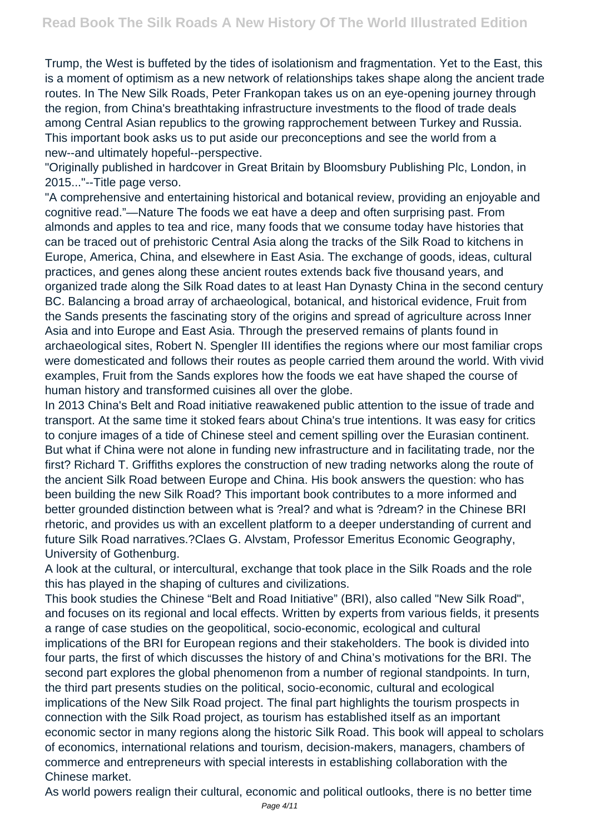Trump, the West is buffeted by the tides of isolationism and fragmentation. Yet to the East, this is a moment of optimism as a new network of relationships takes shape along the ancient trade routes. In The New Silk Roads, Peter Frankopan takes us on an eye-opening journey through the region, from China's breathtaking infrastructure investments to the flood of trade deals among Central Asian republics to the growing rapprochement between Turkey and Russia. This important book asks us to put aside our preconceptions and see the world from a new--and ultimately hopeful--perspective.

"Originally published in hardcover in Great Britain by Bloomsbury Publishing Plc, London, in 2015..."--Title page verso.

"A comprehensive and entertaining historical and botanical review, providing an enjoyable and cognitive read."—Nature The foods we eat have a deep and often surprising past. From almonds and apples to tea and rice, many foods that we consume today have histories that can be traced out of prehistoric Central Asia along the tracks of the Silk Road to kitchens in Europe, America, China, and elsewhere in East Asia. The exchange of goods, ideas, cultural practices, and genes along these ancient routes extends back five thousand years, and organized trade along the Silk Road dates to at least Han Dynasty China in the second century BC. Balancing a broad array of archaeological, botanical, and historical evidence, Fruit from the Sands presents the fascinating story of the origins and spread of agriculture across Inner Asia and into Europe and East Asia. Through the preserved remains of plants found in archaeological sites, Robert N. Spengler III identifies the regions where our most familiar crops were domesticated and follows their routes as people carried them around the world. With vivid examples, Fruit from the Sands explores how the foods we eat have shaped the course of human history and transformed cuisines all over the globe.

In 2013 China's Belt and Road initiative reawakened public attention to the issue of trade and transport. At the same time it stoked fears about China's true intentions. It was easy for critics to conjure images of a tide of Chinese steel and cement spilling over the Eurasian continent. But what if China were not alone in funding new infrastructure and in facilitating trade, nor the first? Richard T. Griffiths explores the construction of new trading networks along the route of the ancient Silk Road between Europe and China. His book answers the question: who has been building the new Silk Road? This important book contributes to a more informed and better grounded distinction between what is ?real? and what is ?dream? in the Chinese BRI rhetoric, and provides us with an excellent platform to a deeper understanding of current and future Silk Road narratives.?Claes G. Alvstam, Professor Emeritus Economic Geography, University of Gothenburg.

A look at the cultural, or intercultural, exchange that took place in the Silk Roads and the role this has played in the shaping of cultures and civilizations.

This book studies the Chinese "Belt and Road Initiative" (BRI), also called "New Silk Road", and focuses on its regional and local effects. Written by experts from various fields, it presents a range of case studies on the geopolitical, socio-economic, ecological and cultural implications of the BRI for European regions and their stakeholders. The book is divided into four parts, the first of which discusses the history of and China's motivations for the BRI. The second part explores the global phenomenon from a number of regional standpoints. In turn, the third part presents studies on the political, socio-economic, cultural and ecological implications of the New Silk Road project. The final part highlights the tourism prospects in connection with the Silk Road project, as tourism has established itself as an important economic sector in many regions along the historic Silk Road. This book will appeal to scholars of economics, international relations and tourism, decision-makers, managers, chambers of commerce and entrepreneurs with special interests in establishing collaboration with the Chinese market.

As world powers realign their cultural, economic and political outlooks, there is no better time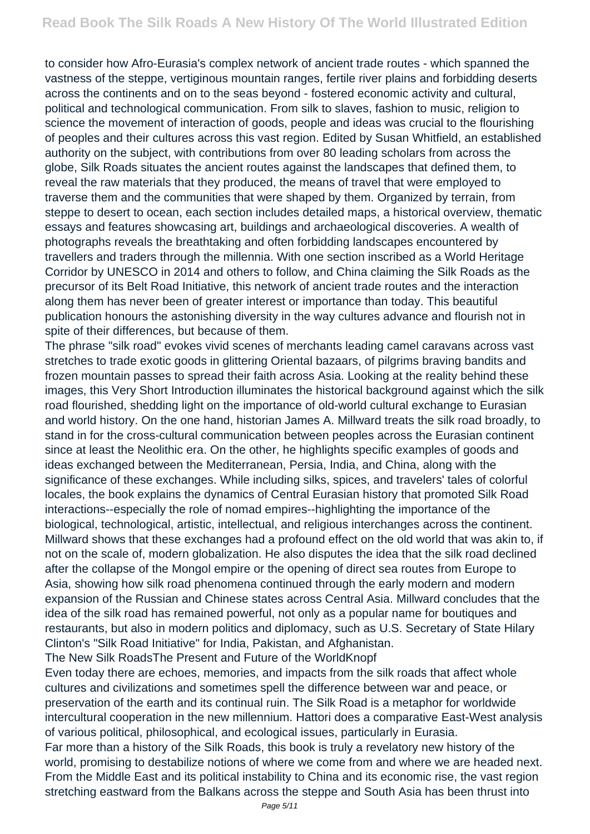to consider how Afro-Eurasia's complex network of ancient trade routes - which spanned the vastness of the steppe, vertiginous mountain ranges, fertile river plains and forbidding deserts across the continents and on to the seas beyond - fostered economic activity and cultural, political and technological communication. From silk to slaves, fashion to music, religion to science the movement of interaction of goods, people and ideas was crucial to the flourishing of peoples and their cultures across this vast region. Edited by Susan Whitfield, an established authority on the subject, with contributions from over 80 leading scholars from across the globe, Silk Roads situates the ancient routes against the landscapes that defined them, to reveal the raw materials that they produced, the means of travel that were employed to traverse them and the communities that were shaped by them. Organized by terrain, from steppe to desert to ocean, each section includes detailed maps, a historical overview, thematic essays and features showcasing art, buildings and archaeological discoveries. A wealth of photographs reveals the breathtaking and often forbidding landscapes encountered by travellers and traders through the millennia. With one section inscribed as a World Heritage Corridor by UNESCO in 2014 and others to follow, and China claiming the Silk Roads as the precursor of its Belt Road Initiative, this network of ancient trade routes and the interaction along them has never been of greater interest or importance than today. This beautiful publication honours the astonishing diversity in the way cultures advance and flourish not in spite of their differences, but because of them.

The phrase "silk road" evokes vivid scenes of merchants leading camel caravans across vast stretches to trade exotic goods in glittering Oriental bazaars, of pilgrims braving bandits and frozen mountain passes to spread their faith across Asia. Looking at the reality behind these images, this Very Short Introduction illuminates the historical background against which the silk road flourished, shedding light on the importance of old-world cultural exchange to Eurasian and world history. On the one hand, historian James A. Millward treats the silk road broadly, to stand in for the cross-cultural communication between peoples across the Eurasian continent since at least the Neolithic era. On the other, he highlights specific examples of goods and ideas exchanged between the Mediterranean, Persia, India, and China, along with the significance of these exchanges. While including silks, spices, and travelers' tales of colorful locales, the book explains the dynamics of Central Eurasian history that promoted Silk Road interactions--especially the role of nomad empires--highlighting the importance of the biological, technological, artistic, intellectual, and religious interchanges across the continent. Millward shows that these exchanges had a profound effect on the old world that was akin to, if not on the scale of, modern globalization. He also disputes the idea that the silk road declined after the collapse of the Mongol empire or the opening of direct sea routes from Europe to Asia, showing how silk road phenomena continued through the early modern and modern expansion of the Russian and Chinese states across Central Asia. Millward concludes that the idea of the silk road has remained powerful, not only as a popular name for boutiques and restaurants, but also in modern politics and diplomacy, such as U.S. Secretary of State Hilary Clinton's "Silk Road Initiative" for India, Pakistan, and Afghanistan.

The New Silk RoadsThe Present and Future of the WorldKnopf

Even today there are echoes, memories, and impacts from the silk roads that affect whole cultures and civilizations and sometimes spell the difference between war and peace, or preservation of the earth and its continual ruin. The Silk Road is a metaphor for worldwide intercultural cooperation in the new millennium. Hattori does a comparative East-West analysis of various political, philosophical, and ecological issues, particularly in Eurasia.

Far more than a history of the Silk Roads, this book is truly a revelatory new history of the world, promising to destabilize notions of where we come from and where we are headed next. From the Middle East and its political instability to China and its economic rise, the vast region stretching eastward from the Balkans across the steppe and South Asia has been thrust into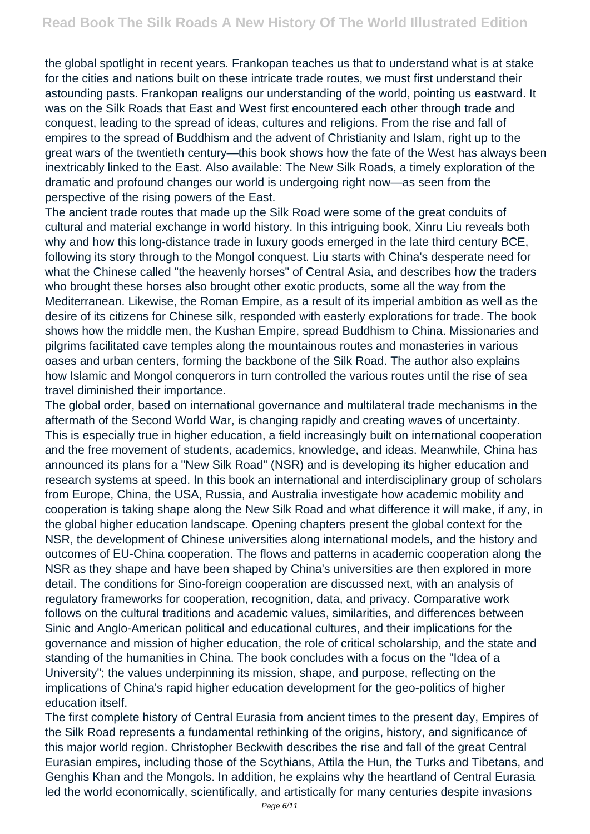the global spotlight in recent years. Frankopan teaches us that to understand what is at stake for the cities and nations built on these intricate trade routes, we must first understand their astounding pasts. Frankopan realigns our understanding of the world, pointing us eastward. It was on the Silk Roads that East and West first encountered each other through trade and conquest, leading to the spread of ideas, cultures and religions. From the rise and fall of empires to the spread of Buddhism and the advent of Christianity and Islam, right up to the great wars of the twentieth century—this book shows how the fate of the West has always been inextricably linked to the East. Also available: The New Silk Roads, a timely exploration of the dramatic and profound changes our world is undergoing right now—as seen from the perspective of the rising powers of the East.

The ancient trade routes that made up the Silk Road were some of the great conduits of cultural and material exchange in world history. In this intriguing book, Xinru Liu reveals both why and how this long-distance trade in luxury goods emerged in the late third century BCE, following its story through to the Mongol conquest. Liu starts with China's desperate need for what the Chinese called "the heavenly horses" of Central Asia, and describes how the traders who brought these horses also brought other exotic products, some all the way from the Mediterranean. Likewise, the Roman Empire, as a result of its imperial ambition as well as the desire of its citizens for Chinese silk, responded with easterly explorations for trade. The book shows how the middle men, the Kushan Empire, spread Buddhism to China. Missionaries and pilgrims facilitated cave temples along the mountainous routes and monasteries in various oases and urban centers, forming the backbone of the Silk Road. The author also explains how Islamic and Mongol conquerors in turn controlled the various routes until the rise of sea travel diminished their importance.

The global order, based on international governance and multilateral trade mechanisms in the aftermath of the Second World War, is changing rapidly and creating waves of uncertainty. This is especially true in higher education, a field increasingly built on international cooperation and the free movement of students, academics, knowledge, and ideas. Meanwhile, China has announced its plans for a "New Silk Road" (NSR) and is developing its higher education and research systems at speed. In this book an international and interdisciplinary group of scholars from Europe, China, the USA, Russia, and Australia investigate how academic mobility and cooperation is taking shape along the New Silk Road and what difference it will make, if any, in the global higher education landscape. Opening chapters present the global context for the NSR, the development of Chinese universities along international models, and the history and outcomes of EU-China cooperation. The flows and patterns in academic cooperation along the NSR as they shape and have been shaped by China's universities are then explored in more detail. The conditions for Sino-foreign cooperation are discussed next, with an analysis of regulatory frameworks for cooperation, recognition, data, and privacy. Comparative work follows on the cultural traditions and academic values, similarities, and differences between Sinic and Anglo-American political and educational cultures, and their implications for the governance and mission of higher education, the role of critical scholarship, and the state and standing of the humanities in China. The book concludes with a focus on the "Idea of a University"; the values underpinning its mission, shape, and purpose, reflecting on the implications of China's rapid higher education development for the geo-politics of higher education itself.

The first complete history of Central Eurasia from ancient times to the present day, Empires of the Silk Road represents a fundamental rethinking of the origins, history, and significance of this major world region. Christopher Beckwith describes the rise and fall of the great Central Eurasian empires, including those of the Scythians, Attila the Hun, the Turks and Tibetans, and Genghis Khan and the Mongols. In addition, he explains why the heartland of Central Eurasia led the world economically, scientifically, and artistically for many centuries despite invasions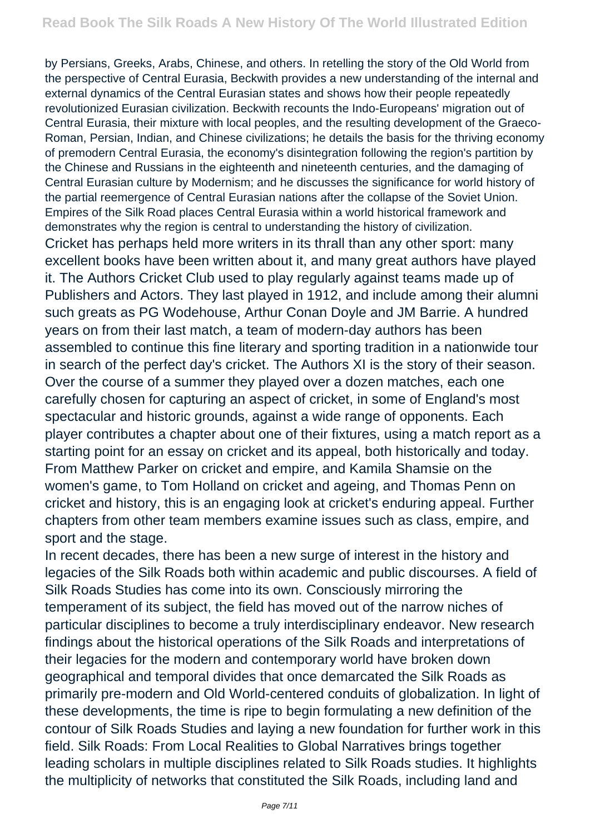by Persians, Greeks, Arabs, Chinese, and others. In retelling the story of the Old World from the perspective of Central Eurasia, Beckwith provides a new understanding of the internal and external dynamics of the Central Eurasian states and shows how their people repeatedly revolutionized Eurasian civilization. Beckwith recounts the Indo-Europeans' migration out of Central Eurasia, their mixture with local peoples, and the resulting development of the Graeco-Roman, Persian, Indian, and Chinese civilizations; he details the basis for the thriving economy of premodern Central Eurasia, the economy's disintegration following the region's partition by the Chinese and Russians in the eighteenth and nineteenth centuries, and the damaging of Central Eurasian culture by Modernism; and he discusses the significance for world history of the partial reemergence of Central Eurasian nations after the collapse of the Soviet Union. Empires of the Silk Road places Central Eurasia within a world historical framework and demonstrates why the region is central to understanding the history of civilization. Cricket has perhaps held more writers in its thrall than any other sport: many excellent books have been written about it, and many great authors have played it. The Authors Cricket Club used to play regularly against teams made up of Publishers and Actors. They last played in 1912, and include among their alumni such greats as PG Wodehouse, Arthur Conan Doyle and JM Barrie. A hundred years on from their last match, a team of modern-day authors has been assembled to continue this fine literary and sporting tradition in a nationwide tour in search of the perfect day's cricket. The Authors XI is the story of their season. Over the course of a summer they played over a dozen matches, each one carefully chosen for capturing an aspect of cricket, in some of England's most spectacular and historic grounds, against a wide range of opponents. Each player contributes a chapter about one of their fixtures, using a match report as a starting point for an essay on cricket and its appeal, both historically and today. From Matthew Parker on cricket and empire, and Kamila Shamsie on the women's game, to Tom Holland on cricket and ageing, and Thomas Penn on cricket and history, this is an engaging look at cricket's enduring appeal. Further chapters from other team members examine issues such as class, empire, and sport and the stage.

In recent decades, there has been a new surge of interest in the history and legacies of the Silk Roads both within academic and public discourses. A field of Silk Roads Studies has come into its own. Consciously mirroring the temperament of its subject, the field has moved out of the narrow niches of particular disciplines to become a truly interdisciplinary endeavor. New research findings about the historical operations of the Silk Roads and interpretations of their legacies for the modern and contemporary world have broken down geographical and temporal divides that once demarcated the Silk Roads as primarily pre-modern and Old World-centered conduits of globalization. In light of these developments, the time is ripe to begin formulating a new definition of the contour of Silk Roads Studies and laying a new foundation for further work in this field. Silk Roads: From Local Realities to Global Narratives brings together leading scholars in multiple disciplines related to Silk Roads studies. It highlights the multiplicity of networks that constituted the Silk Roads, including land and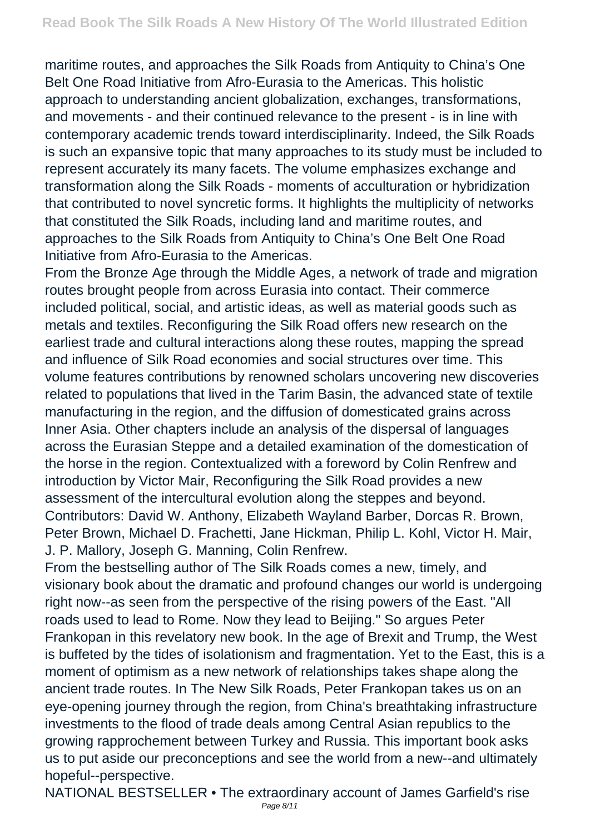maritime routes, and approaches the Silk Roads from Antiquity to China's One Belt One Road Initiative from Afro-Eurasia to the Americas. This holistic approach to understanding ancient globalization, exchanges, transformations, and movements - and their continued relevance to the present - is in line with contemporary academic trends toward interdisciplinarity. Indeed, the Silk Roads is such an expansive topic that many approaches to its study must be included to represent accurately its many facets. The volume emphasizes exchange and transformation along the Silk Roads - moments of acculturation or hybridization that contributed to novel syncretic forms. It highlights the multiplicity of networks that constituted the Silk Roads, including land and maritime routes, and approaches to the Silk Roads from Antiquity to China's One Belt One Road Initiative from Afro-Eurasia to the Americas.

From the Bronze Age through the Middle Ages, a network of trade and migration routes brought people from across Eurasia into contact. Their commerce included political, social, and artistic ideas, as well as material goods such as metals and textiles. Reconfiguring the Silk Road offers new research on the earliest trade and cultural interactions along these routes, mapping the spread and influence of Silk Road economies and social structures over time. This volume features contributions by renowned scholars uncovering new discoveries related to populations that lived in the Tarim Basin, the advanced state of textile manufacturing in the region, and the diffusion of domesticated grains across Inner Asia. Other chapters include an analysis of the dispersal of languages across the Eurasian Steppe and a detailed examination of the domestication of the horse in the region. Contextualized with a foreword by Colin Renfrew and introduction by Victor Mair, Reconfiguring the Silk Road provides a new assessment of the intercultural evolution along the steppes and beyond. Contributors: David W. Anthony, Elizabeth Wayland Barber, Dorcas R. Brown, Peter Brown, Michael D. Frachetti, Jane Hickman, Philip L. Kohl, Victor H. Mair, J. P. Mallory, Joseph G. Manning, Colin Renfrew.

From the bestselling author of The Silk Roads comes a new, timely, and visionary book about the dramatic and profound changes our world is undergoing right now--as seen from the perspective of the rising powers of the East. "All roads used to lead to Rome. Now they lead to Beijing." So argues Peter Frankopan in this revelatory new book. In the age of Brexit and Trump, the West is buffeted by the tides of isolationism and fragmentation. Yet to the East, this is a moment of optimism as a new network of relationships takes shape along the ancient trade routes. In The New Silk Roads, Peter Frankopan takes us on an eye-opening journey through the region, from China's breathtaking infrastructure investments to the flood of trade deals among Central Asian republics to the growing rapprochement between Turkey and Russia. This important book asks us to put aside our preconceptions and see the world from a new--and ultimately hopeful--perspective.

NATIONAL BESTSELLER • The extraordinary account of James Garfield's rise Page 8/11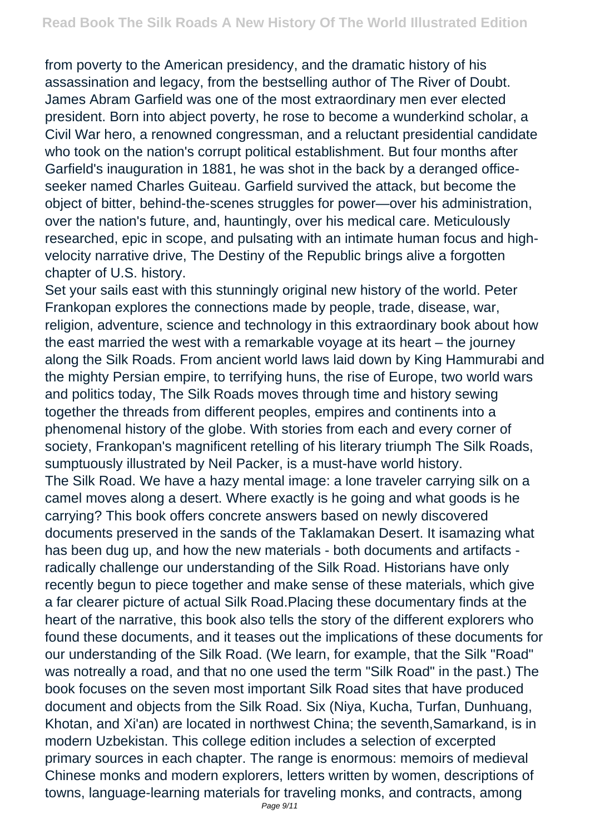from poverty to the American presidency, and the dramatic history of his assassination and legacy, from the bestselling author of The River of Doubt. James Abram Garfield was one of the most extraordinary men ever elected president. Born into abject poverty, he rose to become a wunderkind scholar, a Civil War hero, a renowned congressman, and a reluctant presidential candidate who took on the nation's corrupt political establishment. But four months after Garfield's inauguration in 1881, he was shot in the back by a deranged officeseeker named Charles Guiteau. Garfield survived the attack, but become the object of bitter, behind-the-scenes struggles for power—over his administration, over the nation's future, and, hauntingly, over his medical care. Meticulously researched, epic in scope, and pulsating with an intimate human focus and highvelocity narrative drive, The Destiny of the Republic brings alive a forgotten chapter of U.S. history.

Set your sails east with this stunningly original new history of the world. Peter Frankopan explores the connections made by people, trade, disease, war, religion, adventure, science and technology in this extraordinary book about how the east married the west with a remarkable voyage at its heart – the journey along the Silk Roads. From ancient world laws laid down by King Hammurabi and the mighty Persian empire, to terrifying huns, the rise of Europe, two world wars and politics today, The Silk Roads moves through time and history sewing together the threads from different peoples, empires and continents into a phenomenal history of the globe. With stories from each and every corner of society, Frankopan's magnificent retelling of his literary triumph The Silk Roads, sumptuously illustrated by Neil Packer, is a must-have world history. The Silk Road. We have a hazy mental image: a lone traveler carrying silk on a camel moves along a desert. Where exactly is he going and what goods is he carrying? This book offers concrete answers based on newly discovered documents preserved in the sands of the Taklamakan Desert. It isamazing what has been dug up, and how the new materials - both documents and artifacts radically challenge our understanding of the Silk Road. Historians have only recently begun to piece together and make sense of these materials, which give a far clearer picture of actual Silk Road.Placing these documentary finds at the heart of the narrative, this book also tells the story of the different explorers who found these documents, and it teases out the implications of these documents for our understanding of the Silk Road. (We learn, for example, that the Silk "Road" was notreally a road, and that no one used the term "Silk Road" in the past.) The book focuses on the seven most important Silk Road sites that have produced document and objects from the Silk Road. Six (Niya, Kucha, Turfan, Dunhuang, Khotan, and Xi'an) are located in northwest China; the seventh,Samarkand, is in modern Uzbekistan. This college edition includes a selection of excerpted primary sources in each chapter. The range is enormous: memoirs of medieval Chinese monks and modern explorers, letters written by women, descriptions of towns, language-learning materials for traveling monks, and contracts, among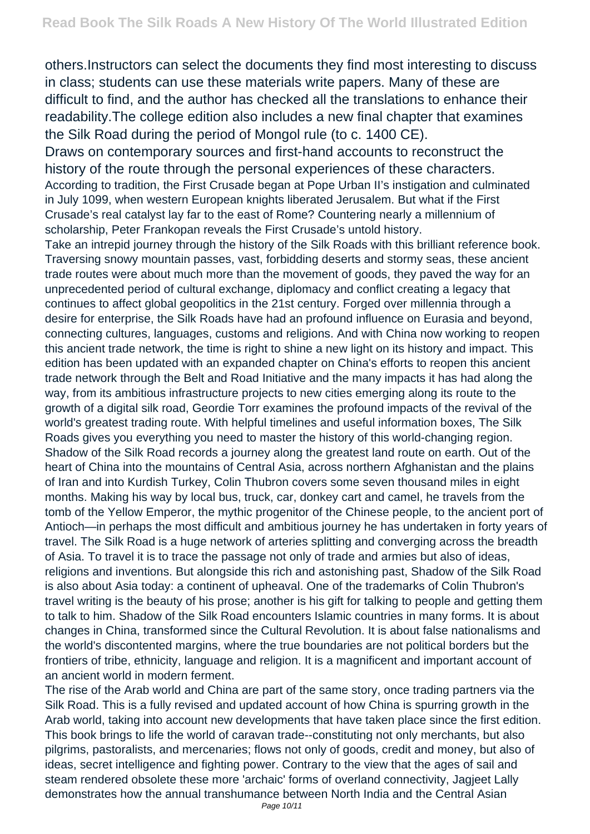others.Instructors can select the documents they find most interesting to discuss in class; students can use these materials write papers. Many of these are difficult to find, and the author has checked all the translations to enhance their readability.The college edition also includes a new final chapter that examines the Silk Road during the period of Mongol rule (to c. 1400 CE).

Draws on contemporary sources and first-hand accounts to reconstruct the history of the route through the personal experiences of these characters. According to tradition, the First Crusade began at Pope Urban II's instigation and culminated in July 1099, when western European knights liberated Jerusalem. But what if the First Crusade's real catalyst lay far to the east of Rome? Countering nearly a millennium of scholarship, Peter Frankopan reveals the First Crusade's untold history.

Take an intrepid journey through the history of the Silk Roads with this brilliant reference book. Traversing snowy mountain passes, vast, forbidding deserts and stormy seas, these ancient trade routes were about much more than the movement of goods, they paved the way for an unprecedented period of cultural exchange, diplomacy and conflict creating a legacy that continues to affect global geopolitics in the 21st century. Forged over millennia through a desire for enterprise, the Silk Roads have had an profound influence on Eurasia and beyond, connecting cultures, languages, customs and religions. And with China now working to reopen this ancient trade network, the time is right to shine a new light on its history and impact. This edition has been updated with an expanded chapter on China's efforts to reopen this ancient trade network through the Belt and Road Initiative and the many impacts it has had along the way, from its ambitious infrastructure projects to new cities emerging along its route to the growth of a digital silk road, Geordie Torr examines the profound impacts of the revival of the world's greatest trading route. With helpful timelines and useful information boxes, The Silk Roads gives you everything you need to master the history of this world-changing region. Shadow of the Silk Road records a journey along the greatest land route on earth. Out of the heart of China into the mountains of Central Asia, across northern Afghanistan and the plains of Iran and into Kurdish Turkey, Colin Thubron covers some seven thousand miles in eight months. Making his way by local bus, truck, car, donkey cart and camel, he travels from the tomb of the Yellow Emperor, the mythic progenitor of the Chinese people, to the ancient port of Antioch—in perhaps the most difficult and ambitious journey he has undertaken in forty years of travel. The Silk Road is a huge network of arteries splitting and converging across the breadth of Asia. To travel it is to trace the passage not only of trade and armies but also of ideas, religions and inventions. But alongside this rich and astonishing past, Shadow of the Silk Road is also about Asia today: a continent of upheaval. One of the trademarks of Colin Thubron's travel writing is the beauty of his prose; another is his gift for talking to people and getting them to talk to him. Shadow of the Silk Road encounters Islamic countries in many forms. It is about changes in China, transformed since the Cultural Revolution. It is about false nationalisms and the world's discontented margins, where the true boundaries are not political borders but the frontiers of tribe, ethnicity, language and religion. It is a magnificent and important account of an ancient world in modern ferment.

The rise of the Arab world and China are part of the same story, once trading partners via the Silk Road. This is a fully revised and updated account of how China is spurring growth in the Arab world, taking into account new developments that have taken place since the first edition. This book brings to life the world of caravan trade--constituting not only merchants, but also pilgrims, pastoralists, and mercenaries; flows not only of goods, credit and money, but also of ideas, secret intelligence and fighting power. Contrary to the view that the ages of sail and steam rendered obsolete these more 'archaic' forms of overland connectivity, Jagjeet Lally demonstrates how the annual transhumance between North India and the Central Asian